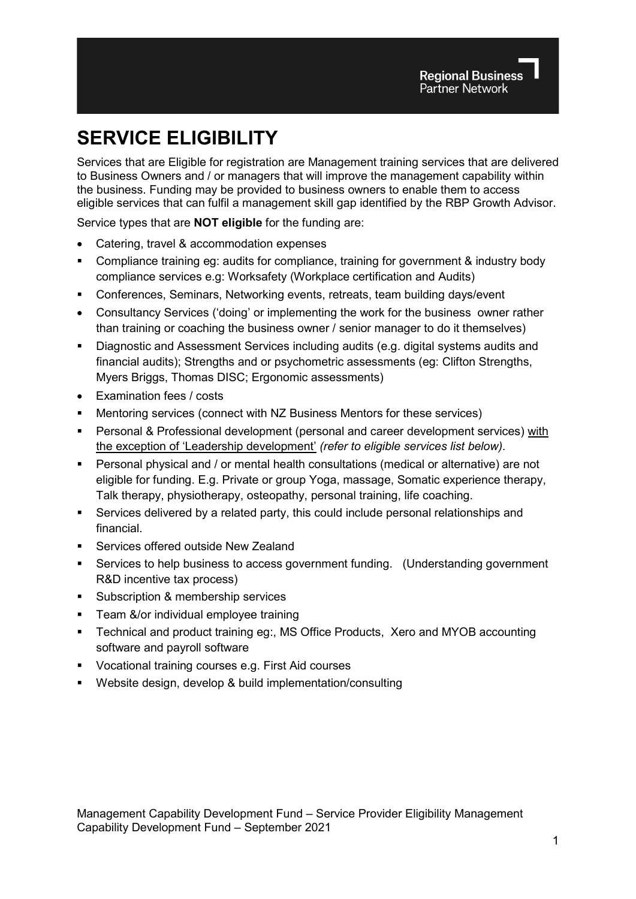# **SERVICE ELIGIBILITY**

Services that are Eligible for registration are Management training services that are delivered to Business Owners and / or managers that will improve the management capability within the business. Funding may be provided to business owners to enable them to access eligible services that can fulfil a management skill gap identified by the RBP Growth Advisor.

Service types that are **NOT eligible** for the funding are:

- Catering, travel & accommodation expenses
- Compliance training eg: audits for compliance, training for government & industry body compliance services e.g: Worksafety (Workplace certification and Audits)
- Conferences, Seminars, Networking events, retreats, team building days/event
- Consultancy Services ('doing' or implementing the work for the business owner rather than training or coaching the business owner / senior manager to do it themselves)
- Diagnostic and Assessment Services including audits (e.g. digital systems audits and financial audits); Strengths and or psychometric assessments (eg: Clifton Strengths, Myers Briggs, Thomas DISC; Ergonomic assessments)
- Examination fees / costs
- Mentoring services (connect with NZ Business Mentors for these services)
- Personal & Professional development (personal and career development services) with the exception of 'Leadership development' *(refer to eligible services list below).*
- Personal physical and / or mental health consultations (medical or alternative) are not eligible for funding. E.g. Private or group Yoga, massage, Somatic experience therapy, Talk therapy, physiotherapy, osteopathy, personal training, life coaching.
- Services delivered by a related party, this could include personal relationships and financial.
- Services offered outside New Zealand
- Services to help business to access government funding. (Understanding government R&D incentive tax process)
- **Subscription & membership services**
- **Team &/or individual employee training**
- Technical and product training eg:, MS Office Products, Xero and MYOB accounting software and payroll software
- Vocational training courses e.g. First Aid courses
- Website design, develop & build implementation/consulting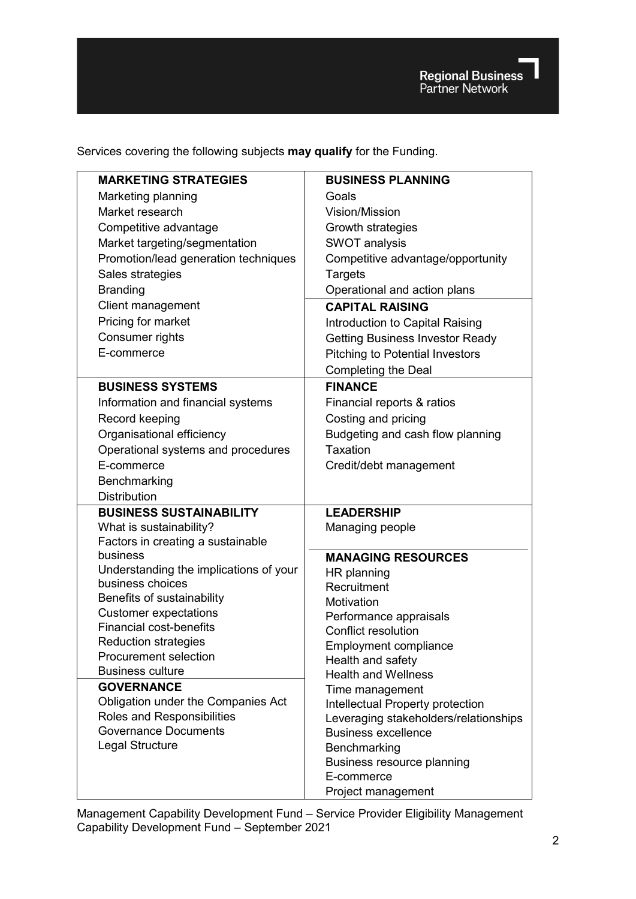Regional Business

Services covering the following subjects **may qualify** for the Funding.

| <b>MARKETING STRATEGIES</b>                                 | <b>BUSINESS PLANNING</b>                                                  |
|-------------------------------------------------------------|---------------------------------------------------------------------------|
| Marketing planning                                          | Goals                                                                     |
| Market research                                             | <b>Vision/Mission</b>                                                     |
| Competitive advantage                                       | Growth strategies                                                         |
| Market targeting/segmentation                               | <b>SWOT analysis</b>                                                      |
| Promotion/lead generation techniques                        | Competitive advantage/opportunity                                         |
| Sales strategies                                            | Targets                                                                   |
| <b>Branding</b>                                             | Operational and action plans                                              |
| Client management                                           | <b>CAPITAL RAISING</b>                                                    |
| Pricing for market                                          | Introduction to Capital Raising                                           |
| Consumer rights                                             | <b>Getting Business Investor Ready</b>                                    |
| E-commerce                                                  | <b>Pitching to Potential Investors</b>                                    |
|                                                             | <b>Completing the Deal</b>                                                |
| <b>BUSINESS SYSTEMS</b>                                     | <b>FINANCE</b>                                                            |
| Information and financial systems                           | Financial reports & ratios                                                |
| Record keeping                                              | Costing and pricing                                                       |
| Organisational efficiency                                   | Budgeting and cash flow planning                                          |
| Operational systems and procedures                          | Taxation                                                                  |
| E-commerce                                                  | Credit/debt management                                                    |
| Benchmarking                                                |                                                                           |
| <b>Distribution</b>                                         |                                                                           |
| <b>BUSINESS SUSTAINABILITY</b>                              | <b>LEADERSHIP</b>                                                         |
| What is sustainability?                                     | Managing people                                                           |
| Factors in creating a sustainable                           |                                                                           |
| business                                                    | <b>MANAGING RESOURCES</b>                                                 |
| Understanding the implications of your                      | HR planning                                                               |
| business choices                                            | Recruitment                                                               |
| Benefits of sustainability                                  | Motivation                                                                |
| <b>Customer expectations</b>                                | Performance appraisals                                                    |
| <b>Financial cost-benefits</b>                              | <b>Conflict resolution</b>                                                |
| <b>Reduction strategies</b><br><b>Procurement selection</b> | <b>Employment compliance</b>                                              |
| <b>Business culture</b>                                     | Health and safety                                                         |
| <b>GOVERNANCE</b>                                           | <b>Health and Wellness</b>                                                |
| Obligation under the Companies Act                          | Time management                                                           |
| Roles and Responsibilities                                  | Intellectual Property protection<br>Leveraging stakeholders/relationships |
| <b>Governance Documents</b>                                 | <b>Business excellence</b>                                                |
| Legal Structure                                             | Benchmarking                                                              |
|                                                             | Business resource planning                                                |
|                                                             | E-commerce                                                                |
|                                                             | Project management                                                        |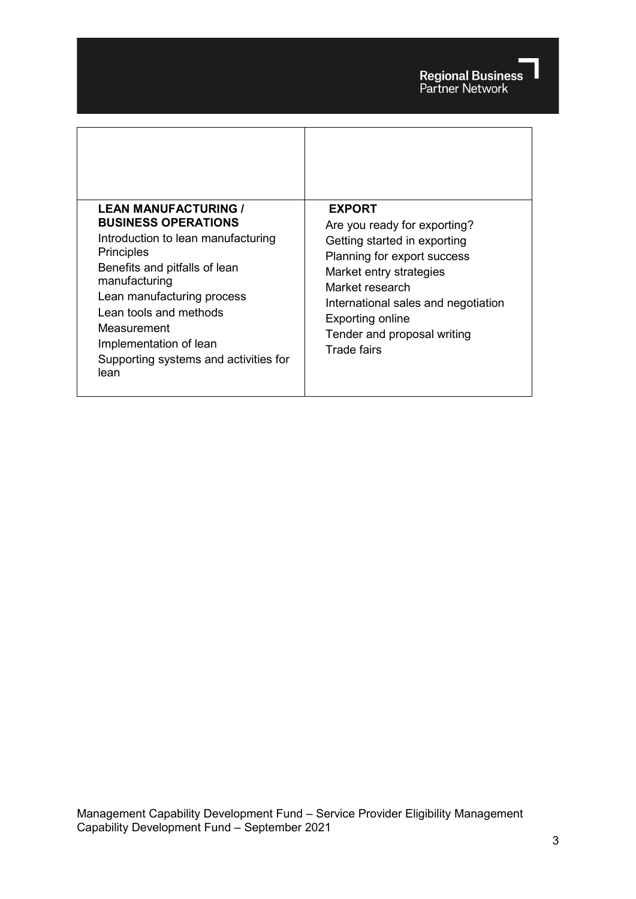| <b>LEAN MANUFACTURING /</b>                                                                                                                                                                                                                                                        | <b>EXPORT</b>                                                                                                                                                                                                                                             |
|------------------------------------------------------------------------------------------------------------------------------------------------------------------------------------------------------------------------------------------------------------------------------------|-----------------------------------------------------------------------------------------------------------------------------------------------------------------------------------------------------------------------------------------------------------|
| <b>BUSINESS OPERATIONS</b><br>Introduction to lean manufacturing<br>Principles<br>Benefits and pitfalls of lean<br>manufacturing<br>Lean manufacturing process<br>Lean tools and methods<br>Measurement<br>Implementation of lean<br>Supporting systems and activities for<br>lean | Are you ready for exporting?<br>Getting started in exporting<br>Planning for export success<br>Market entry strategies<br>Market research<br>International sales and negotiation<br><b>Exporting online</b><br>Tender and proposal writing<br>Trade fairs |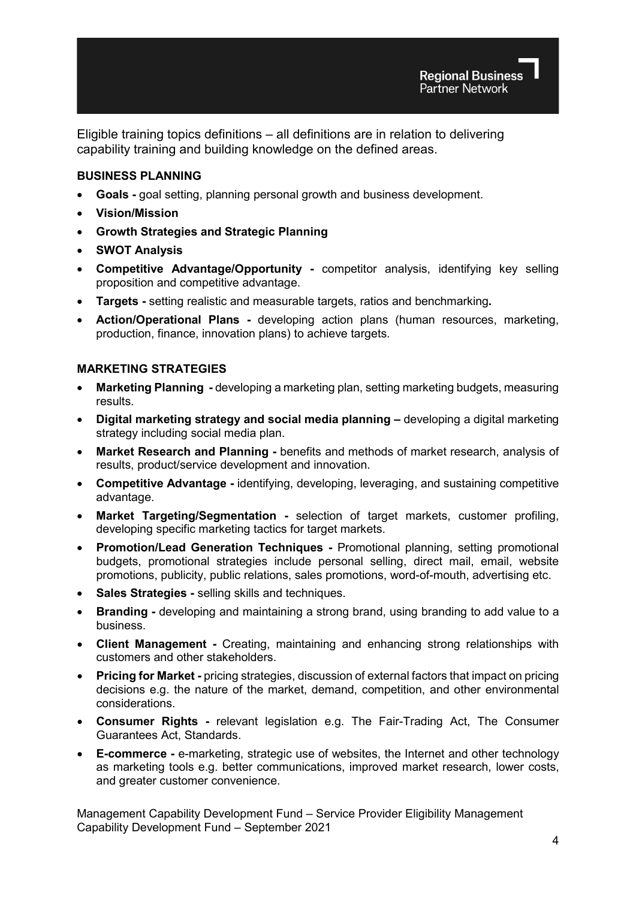Eligible training topics definitions – all definitions are in relation to delivering capability training and building knowledge on the defined areas.

## **BUSINESS PLANNING**

- **Goals -** goal setting, planning personal growth and business development.
- **Vision/Mission**
- **Growth Strategies and Strategic Planning**
- **SWOT Analysis**
- **Competitive Advantage/Opportunity -** competitor analysis, identifying key selling proposition and competitive advantage.
- **Targets -** setting realistic and measurable targets, ratios and benchmarking**.**
- **Action/Operational Plans -** developing action plans (human resources, marketing, production, finance, innovation plans) to achieve targets.

## **MARKETING STRATEGIES**

- **Marketing Planning -** developing a marketing plan, setting marketing budgets, measuring results.
- **Digital marketing strategy and social media planning –** developing a digital marketing strategy including social media plan.
- **Market Research and Planning -** benefits and methods of market research, analysis of results, product/service development and innovation.
- **Competitive Advantage -** identifying, developing, leveraging, and sustaining competitive advantage.
- **Market Targeting/Segmentation -** selection of target markets, customer profiling, developing specific marketing tactics for target markets.
- **Promotion/Lead Generation Techniques -** Promotional planning, setting promotional budgets, promotional strategies include personal selling, direct mail, email, website promotions, publicity, public relations, sales promotions, word-of-mouth, advertising etc.
- **Sales Strategies -** selling skills and techniques.
- **Branding -** developing and maintaining a strong brand, using branding to add value to a business.
- **Client Management -** Creating, maintaining and enhancing strong relationships with customers and other stakeholders.
- **Pricing for Market -** pricing strategies, discussion of external factors that impact on pricing decisions e.g. the nature of the market, demand, competition, and other environmental considerations.
- **Consumer Rights -** relevant legislation e.g. The Fair-Trading Act, The Consumer Guarantees Act, Standards.
- **E-commerce -** e-marketing, strategic use of websites, the Internet and other technology as marketing tools e.g. better communications, improved market research, lower costs, and greater customer convenience.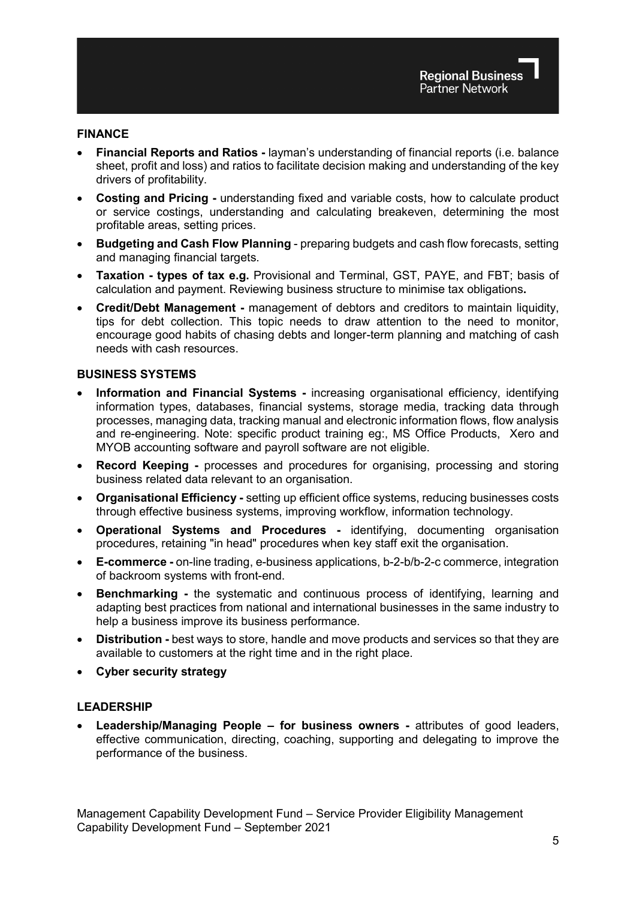#### **FINANCE**

- **Financial Reports and Ratios -** layman's understanding of financial reports (i.e. balance sheet, profit and loss) and ratios to facilitate decision making and understanding of the key drivers of profitability.
- **Costing and Pricing -** understanding fixed and variable costs, how to calculate product or service costings, understanding and calculating breakeven, determining the most profitable areas, setting prices.
- **Budgeting and Cash Flow Planning**  preparing budgets and cash flow forecasts, setting and managing financial targets.
- **Taxation - types of tax e.g.** Provisional and Terminal, GST, PAYE, and FBT; basis of calculation and payment. Reviewing business structure to minimise tax obligations**.**
- **Credit/Debt Management -** management of debtors and creditors to maintain liquidity, tips for debt collection. This topic needs to draw attention to the need to monitor, encourage good habits of chasing debts and longer-term planning and matching of cash needs with cash resources.

#### **BUSINESS SYSTEMS**

- **Information and Financial Systems -** increasing organisational efficiency, identifying information types, databases, financial systems, storage media, tracking data through processes, managing data, tracking manual and electronic information flows, flow analysis and re-engineering. Note: specific product training eg:, MS Office Products, Xero and MYOB accounting software and payroll software are not eligible.
- **Record Keeping -** processes and procedures for organising, processing and storing business related data relevant to an organisation.
- **Organisational Efficiency -** setting up efficient office systems, reducing businesses costs through effective business systems, improving workflow, information technology.
- **Operational Systems and Procedures -** identifying, documenting organisation procedures, retaining "in head" procedures when key staff exit the organisation.
- **E-commerce -** on-line trading, e-business applications, b-2-b/b-2-c commerce, integration of backroom systems with front-end.
- **Benchmarking -** the systematic and continuous process of identifying, learning and adapting best practices from national and international businesses in the same industry to help a business improve its business performance.
- **Distribution -** best ways to store, handle and move products and services so that they are available to customers at the right time and in the right place.
- **Cyber security strategy**

#### **LEADERSHIP**

• **Leadership/Managing People – for business owners -** attributes of good leaders, effective communication, directing, coaching, supporting and delegating to improve the performance of the business.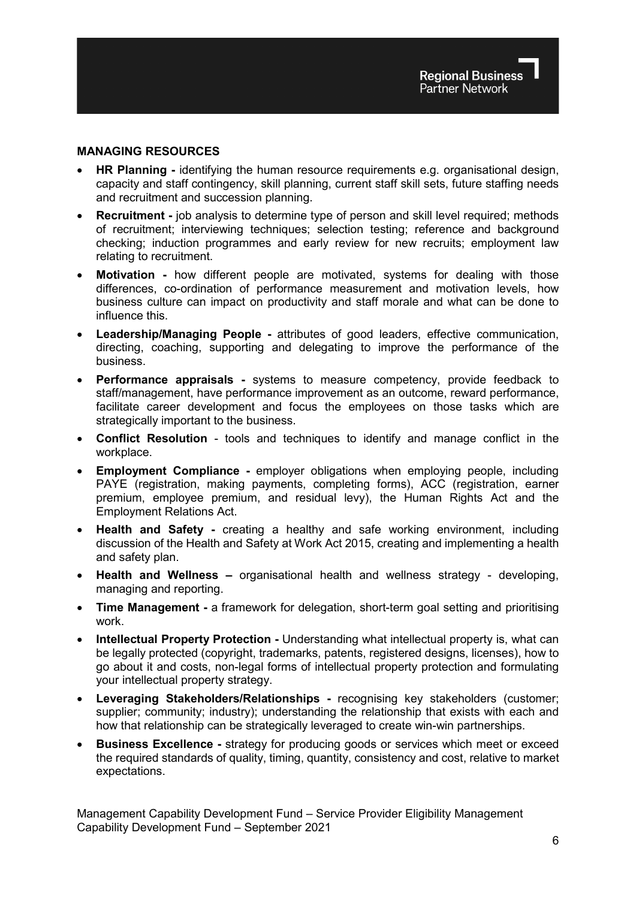#### **MANAGING RESOURCES**

- **HR Planning -** identifying the human resource requirements e.g. organisational design, capacity and staff contingency, skill planning, current staff skill sets, future staffing needs and recruitment and succession planning.
- **Recruitment -** job analysis to determine type of person and skill level required; methods of recruitment; interviewing techniques; selection testing; reference and background checking; induction programmes and early review for new recruits; employment law relating to recruitment.
- **Motivation -** how different people are motivated, systems for dealing with those differences, co-ordination of performance measurement and motivation levels, how business culture can impact on productivity and staff morale and what can be done to influence this.
- **Leadership/Managing People -** attributes of good leaders, effective communication, directing, coaching, supporting and delegating to improve the performance of the business.
- **Performance appraisals -** systems to measure competency, provide feedback to staff/management, have performance improvement as an outcome, reward performance, facilitate career development and focus the employees on those tasks which are strategically important to the business.
- **Conflict Resolution**  tools and techniques to identify and manage conflict in the workplace.
- **Employment Compliance -** employer obligations when employing people, including PAYE (registration, making payments, completing forms), ACC (registration, earner premium, employee premium, and residual levy), the Human Rights Act and the Employment Relations Act.
- **Health and Safety -** creating a healthy and safe working environment, including discussion of the Health and Safety at Work Act 2015, creating and implementing a health and safety plan.
- **Health and Wellness –** organisational health and wellness strategy developing, managing and reporting.
- **Time Management -** a framework for delegation, short-term goal setting and prioritising work.
- **Intellectual Property Protection -** Understanding what intellectual property is, what can be legally protected (copyright, trademarks, patents, registered designs, licenses), how to go about it and costs, non-legal forms of intellectual property protection and formulating your intellectual property strategy.
- **Leveraging Stakeholders/Relationships -** recognising key stakeholders (customer; supplier; community; industry); understanding the relationship that exists with each and how that relationship can be strategically leveraged to create win-win partnerships.
- **Business Excellence -** strategy for producing goods or services which meet or exceed the required standards of quality, timing, quantity, consistency and cost, relative to market expectations.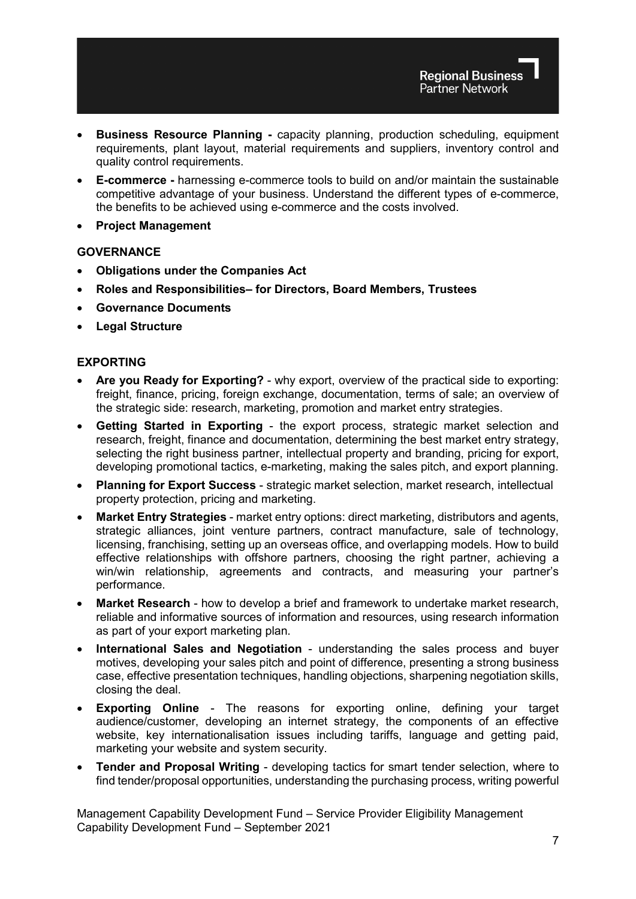- **Business Resource Planning -** capacity planning, production scheduling, equipment requirements, plant layout, material requirements and suppliers, inventory control and quality control requirements.
- **E-commerce -** harnessing e-commerce tools to build on and/or maintain the sustainable competitive advantage of your business. Understand the different types of e-commerce, the benefits to be achieved using e-commerce and the costs involved.
- **Project Management**

## **GOVERNANCE**

- **Obligations under the Companies Act**
- **Roles and Responsibilities– for Directors, Board Members, Trustees**
- **Governance Documents**
- **Legal Structure**

## **EXPORTING**

- **Are you Ready for Exporting?** why export, overview of the practical side to exporting: freight, finance, pricing, foreign exchange, documentation, terms of sale; an overview of the strategic side: research, marketing, promotion and market entry strategies.
- **Getting Started in Exporting** the export process, strategic market selection and research, freight, finance and documentation, determining the best market entry strategy, selecting the right business partner, intellectual property and branding, pricing for export, developing promotional tactics, e-marketing, making the sales pitch, and export planning.
- **Planning for Export Success** strategic market selection, market research, intellectual property protection, pricing and marketing.
- **Market Entry Strategies** market entry options: direct marketing, distributors and agents, strategic alliances, joint venture partners, contract manufacture, sale of technology, licensing, franchising, setting up an overseas office, and overlapping models. How to build effective relationships with offshore partners, choosing the right partner, achieving a win/win relationship, agreements and contracts, and measuring your partner's performance.
- **Market Research** how to develop a brief and framework to undertake market research, reliable and informative sources of information and resources, using research information as part of your export marketing plan.
- **International Sales and Negotiation** understanding the sales process and buyer motives, developing your sales pitch and point of difference, presenting a strong business case, effective presentation techniques, handling objections, sharpening negotiation skills, closing the deal.
- **Exporting Online** The reasons for exporting online, defining your target audience/customer, developing an internet strategy, the components of an effective website, key internationalisation issues including tariffs, language and getting paid, marketing your website and system security.
- **Tender and Proposal Writing** developing tactics for smart tender selection, where to find tender/proposal opportunities, understanding the purchasing process, writing powerful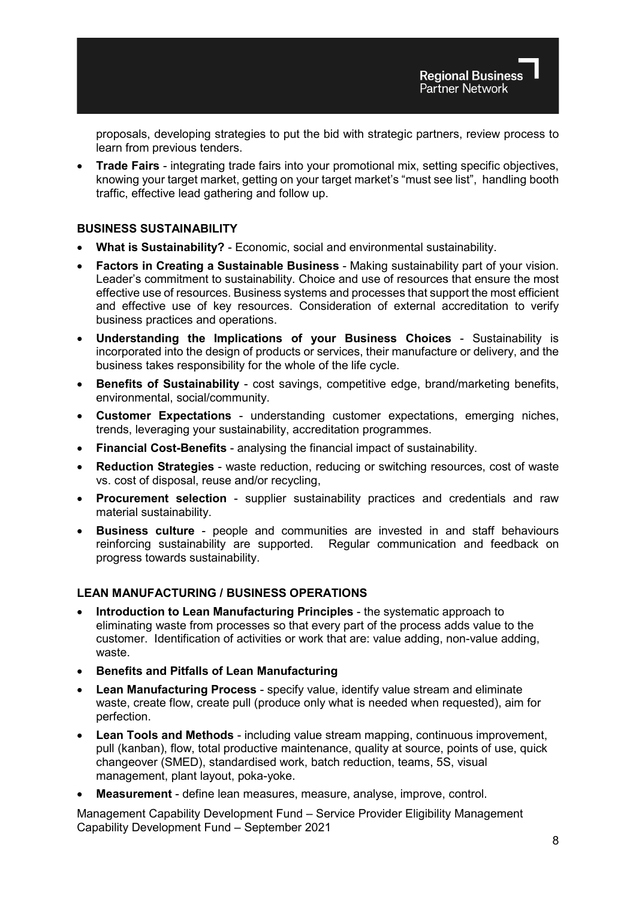proposals, developing strategies to put the bid with strategic partners, review process to learn from previous tenders.

• **Trade Fairs** - integrating trade fairs into your promotional mix, setting specific objectives, knowing your target market, getting on your target market's "must see list", handling booth traffic, effective lead gathering and follow up.

## **BUSINESS SUSTAINABILITY**

- **What is Sustainability?** Economic, social and environmental sustainability.
- **Factors in Creating a Sustainable Business** Making sustainability part of your vision. Leader's commitment to sustainability. Choice and use of resources that ensure the most effective use of resources. Business systems and processes that support the most efficient and effective use of key resources. Consideration of external accreditation to verify business practices and operations.
- **Understanding the Implications of your Business Choices** Sustainability is incorporated into the design of products or services, their manufacture or delivery, and the business takes responsibility for the whole of the life cycle.
- **Benefits of Sustainability** cost savings, competitive edge, brand/marketing benefits, environmental, social/community.
- **Customer Expectations** understanding customer expectations, emerging niches, trends, leveraging your sustainability, accreditation programmes.
- **Financial Cost-Benefits** analysing the financial impact of sustainability.
- **Reduction Strategies** waste reduction, reducing or switching resources, cost of waste vs. cost of disposal, reuse and/or recycling,
- **Procurement selection** supplier sustainability practices and credentials and raw material sustainability.
- **Business culture** people and communities are invested in and staff behaviours reinforcing sustainability are supported. Regular communication and feedback on progress towards sustainability.

## **LEAN MANUFACTURING / BUSINESS OPERATIONS**

- **Introduction to Lean Manufacturing Principles** the systematic approach to eliminating waste from processes so that every part of the process adds value to the customer. Identification of activities or work that are: value adding, non-value adding, waste.
- **Benefits and Pitfalls of Lean Manufacturing**
- **Lean Manufacturing Process**  specify value, identify value stream and eliminate waste, create flow, create pull (produce only what is needed when requested), aim for perfection.
- **Lean Tools and Methods** including value stream mapping, continuous improvement, pull (kanban), flow, total productive maintenance, quality at source, points of use, quick changeover (SMED), standardised work, batch reduction, teams, 5S, visual management, plant layout, poka-yoke.
- **Measurement**  define lean measures, measure, analyse, improve, control.